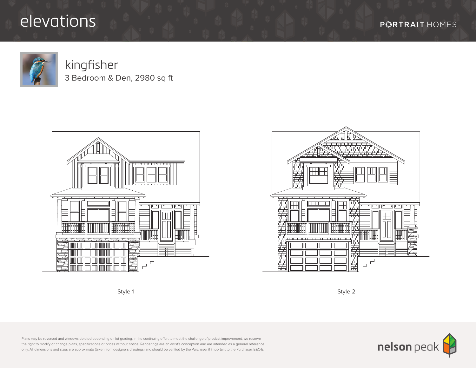## elevations



## kingfisher 3 Bedroom & Den, 2980 sq ft







Plans may be reversed and windows deleted depending on lot grading. In the continuing effort to meet the challenge of product improvement, we reserve the right to modify or change plans, specifications or prices without notice. Renderings are an artist's conception and are intended as a general reference only. All dimensions and sizes are approximate (taken from designers drawings) and should be verified by the Purchaser if important to the Purchaser. E&O.E.